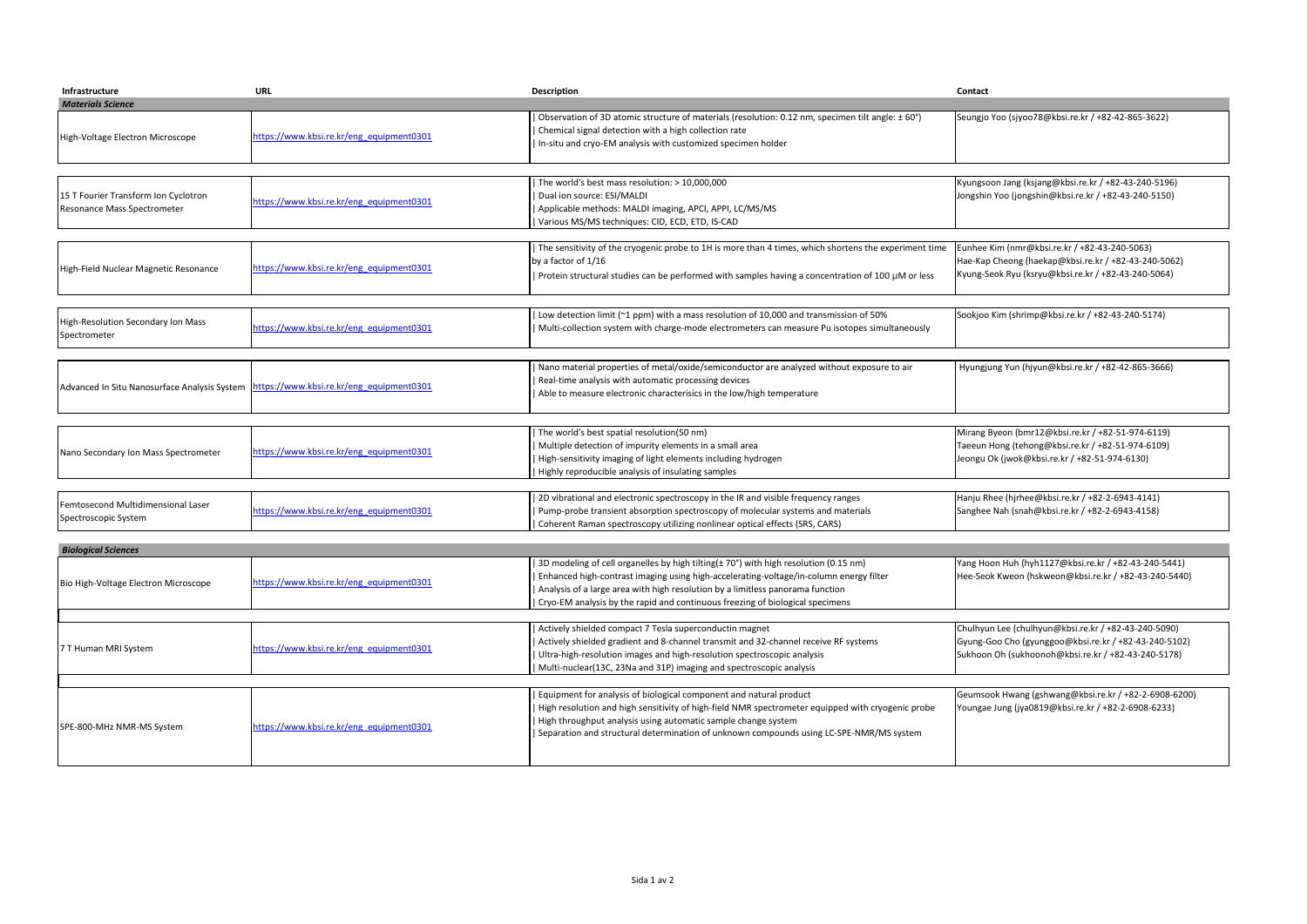| Infrastructure                                                      | <b>URL</b>                               | Description                                                                                                                                                                                                                                                                                      | Contact                                                                                                                                                              |  |  |
|---------------------------------------------------------------------|------------------------------------------|--------------------------------------------------------------------------------------------------------------------------------------------------------------------------------------------------------------------------------------------------------------------------------------------------|----------------------------------------------------------------------------------------------------------------------------------------------------------------------|--|--|
| <b>Materials Science</b>                                            |                                          |                                                                                                                                                                                                                                                                                                  |                                                                                                                                                                      |  |  |
| High-Voltage Electron Microscope                                    | https://www.kbsi.re.kr/eng_equipment0301 | Observation of 3D atomic structure of materials (resolution: 0.12 nm, specimen tilt angle: ± 60°)<br>Chemical signal detection with a high collection rate<br>In-situ and cryo-EM analysis with customized specimen holder                                                                       | Seungjo Yoo (sjyoo78@kbsi.re.kr / +82-42-865-3622)                                                                                                                   |  |  |
|                                                                     |                                          |                                                                                                                                                                                                                                                                                                  |                                                                                                                                                                      |  |  |
| 15 T Fourier Transform Ion Cyclotron<br>Resonance Mass Spectrometer | https://www.kbsi.re.kr/eng_equipment0301 | The world's best mass resolution: > 10,000,000<br>Dual ion source: ESI/MALDI<br>Applicable methods: MALDI imaging, APCI, APPI, LC/MS/MS<br>Various MS/MS techniques: CID, ECD, ETD, IS-CAD                                                                                                       | Kyungsoon Jang (ksjang@kbsi.re.kr / +82-43-240-5196)<br>Jongshin Yoo (jongshin@kbsi.re.kr / +82-43-240-5150)                                                         |  |  |
|                                                                     |                                          | The sensitivity of the cryogenic probe to 1H is more than 4 times, which shortens the experiment time                                                                                                                                                                                            | Eunhee Kim (nmr@kbsi.re.kr / +82-43-240-5063)                                                                                                                        |  |  |
| High-Field Nuclear Magnetic Resonance                               | https://www.kbsi.re.kr/eng_equipment0301 | by a factor of 1/16<br>Protein structural studies can be performed with samples having a concentration of 100 µM or less                                                                                                                                                                         | Hae-Kap Cheong (haekap@kbsi.re.kr / +82-43-240-5062)<br>Kyung-Seok Ryu (ksryu@kbsi.re.kr / +82-43-240-5064)                                                          |  |  |
|                                                                     |                                          |                                                                                                                                                                                                                                                                                                  |                                                                                                                                                                      |  |  |
| High-Resolution Secondary Ion Mass<br>Spectrometer                  | https://www.kbsi.re.kr/eng_equipment0301 | Low detection limit (~1 ppm) with a mass resolution of 10,000 and transmission of 50%<br>Multi-collection system with charge-mode electrometers can measure Pu isotopes simultaneously                                                                                                           | Sookjoo Kim (shrimp@kbsi.re.kr / +82-43-240-5174)                                                                                                                    |  |  |
|                                                                     |                                          |                                                                                                                                                                                                                                                                                                  |                                                                                                                                                                      |  |  |
| Advanced In Situ Nanosurface Analysis System                        | https://www.kbsi.re.kr/eng_equipment0301 | Nano material properties of metal/oxide/semiconductor are analyzed without exposure to air<br>Real-time analysis with automatic processing devices<br>Able to measure electronic characterisics in the low/high temperature                                                                      | Hyungjung Yun (hjyun@kbsi.re.kr / +82-42-865-3666)                                                                                                                   |  |  |
|                                                                     |                                          |                                                                                                                                                                                                                                                                                                  |                                                                                                                                                                      |  |  |
| Nano Secondary Ion Mass Spectrometer                                | https://www.kbsi.re.kr/eng equipment0301 | The world's best spatial resolution(50 nm)<br>Multiple detection of impurity elements in a small area<br>High-sensitivity imaging of light elements including hydrogen<br>Highly reproducible analysis of insulating samples                                                                     | Mirang Byeon (bmr12@kbsi.re.kr / +82-51-974-6119)<br>Taeeun Hong (tehong@kbsi.re.kr / +82-51-974-6109)<br>Jeongu Ok (jwok@kbsi.re.kr / +82-51-974-6130)              |  |  |
|                                                                     |                                          |                                                                                                                                                                                                                                                                                                  |                                                                                                                                                                      |  |  |
| Femtosecond Multidimensional Laser<br>Spectroscopic System          | nttps://www.kbsi.re.kr/eng equipment0301 | 2D vibrational and electronic spectroscopy in the IR and visible frequency ranges<br>Pump-probe transient absorption spectroscopy of molecular systems and materials<br>Coherent Raman spectroscopy utilizing nonlinear optical effects (SRS, CARS)                                              | Hanju Rhee (hjrhee@kbsi.re.kr / +82-2-6943-4141)<br>Sanghee Nah (snah@kbsi.re.kr / +82-2-6943-4158)                                                                  |  |  |
|                                                                     |                                          |                                                                                                                                                                                                                                                                                                  |                                                                                                                                                                      |  |  |
| <b>Biological Sciences</b>                                          |                                          | 3D modeling of cell organelles by high tilting(± 70°) with high resolution (0.15 nm)                                                                                                                                                                                                             | Yang Hoon Huh (hyh1127@kbsi.re.kr / +82-43-240-5441)                                                                                                                 |  |  |
| Bio High-Voltage Electron Microscope                                | https://www.kbsi.re.kr/eng equipment0301 | Enhanced high-contrast imaging using high-accelerating-voltage/in-column energy filter<br>Analysis of a large area with high resolution by a limitless panorama function<br>Cryo-EM analysis by the rapid and continuous freezing of biological specimens                                        | Hee-Seok Kweon (hskweon@kbsi.re.kr / +82-43-240-5440)                                                                                                                |  |  |
|                                                                     |                                          |                                                                                                                                                                                                                                                                                                  |                                                                                                                                                                      |  |  |
| T Human MRI System                                                  | https://www.kbsi.re.kr/eng equipment0301 | Actively shielded compact 7 Tesla superconductin magnet<br>Actively shielded gradient and 8-channel transmit and 32-channel receive RF systems<br>Ultra-high-resolution images and high-resolution spectroscopic analysis<br>Multi-nuclear(13C, 23Na and 31P) imaging and spectroscopic analysis | Chulhyun Lee (chulhyun@kbsi.re.kr / +82-43-240-5090)<br>Gyung-Goo Cho (gyunggoo@kbsi.re.kr / +82-43-240-5102)<br>Sukhoon Oh (sukhoonoh@kbsi.re.kr / +82-43-240-5178) |  |  |
|                                                                     |                                          | Equipment for analysis of biological component and natural product                                                                                                                                                                                                                               | Geumsook Hwang (gshwang@kbsi.re.kr / +82-2-6908-6200)                                                                                                                |  |  |
| SPE-800-MHz NMR-MS System                                           | https://www.kbsi.re.kr/eng equipment0301 | High resolution and high sensitivity of high-field NMR spectrometer equipped with cryogenic probe<br>High throughput analysis using automatic sample change system<br>Separation and structural determination of unknown compounds using LC-SPE-NMR/MS system                                    | Youngae Jung (jya0819@kbsi.re.kr / +82-2-6908-6233)                                                                                                                  |  |  |